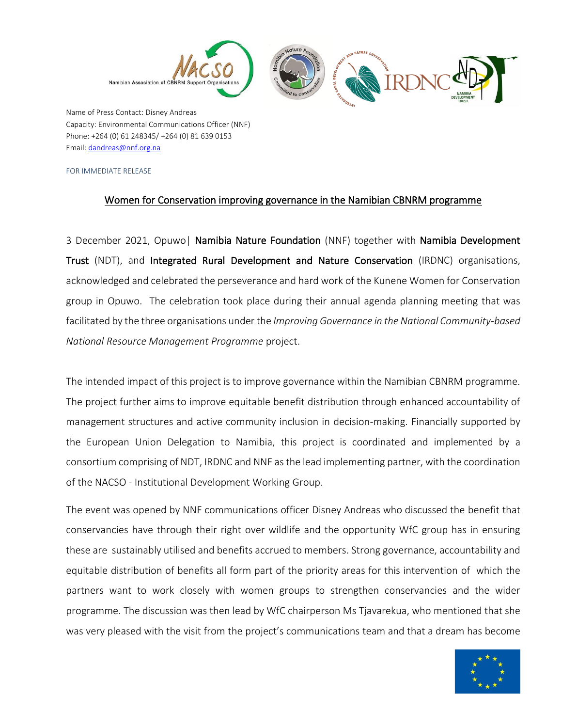

Name of Press Contact: Disney Andreas Capacity: Environmental Communications Officer (NNF) Phone: +264 (0) 61 248345/ +264 (0) 81 639 0153 Email[: dandreas@nnf.org.na](mailto:dandreas@nnf.org.na)

FOR IMMEDIATE RELEASE

## Women for Conservation improving governance in the Namibian CBNRM programme

3 December 2021, Opuwo| Namibia Nature Foundation (NNF) together with Namibia Development Trust (NDT), and Integrated Rural Development and Nature Conservation (IRDNC) organisations, acknowledged and celebrated the perseverance and hard work of the Kunene Women for Conservation group in Opuwo. The celebration took place during their annual agenda planning meeting that was facilitated by the three organisations under the *Improving Governance in the National Community-based National Resource Management Programme* project.

The intended impact of this project is to improve governance within the Namibian CBNRM programme. The project further aims to improve equitable benefit distribution through enhanced accountability of management structures and active community inclusion in decision-making. Financially supported by the European Union Delegation to Namibia, this project is coordinated and implemented by a consortium comprising of NDT, IRDNC and NNF as the lead implementing partner, with the coordination of the NACSO - Institutional Development Working Group.

The event was opened by NNF communications officer Disney Andreas who discussed the benefit that conservancies have through their right over wildlife and the opportunity WfC group has in ensuring these are sustainably utilised and benefits accrued to members. Strong governance, accountability and equitable distribution of benefits all form part of the priority areas for this intervention of which the partners want to work closely with women groups to strengthen conservancies and the wider programme. The discussion was then lead by WfC chairperson Ms Tjavarekua, who mentioned that she was very pleased with the visit from the project's communications team and that a dream has become

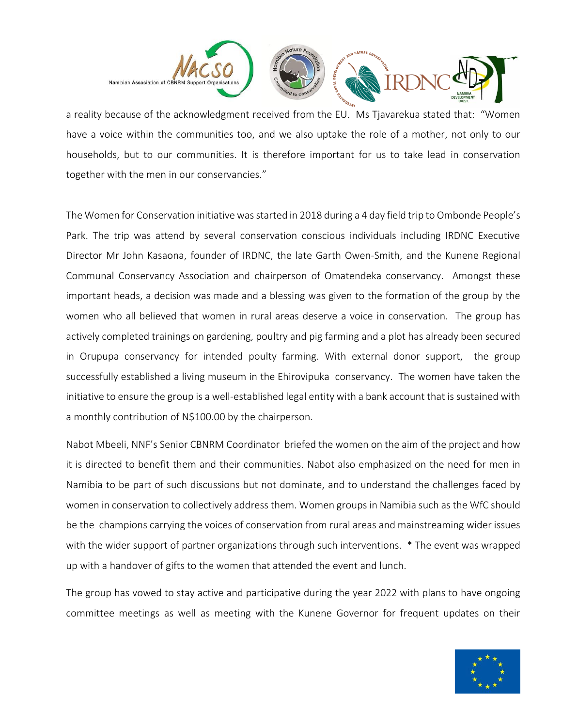

a reality because of the acknowledgment received from the EU. Ms Tjavarekua stated that: "Women have a voice within the communities too, and we also uptake the role of a mother, not only to our households, but to our communities. It is therefore important for us to take lead in conservation together with the men in our conservancies."

The Women for Conservation initiative was started in 2018 during a 4 day field trip to Ombonde People's Park. The trip was attend by several conservation conscious individuals including IRDNC Executive Director Mr John Kasaona, founder of IRDNC, the late Garth Owen-Smith, and the Kunene Regional Communal Conservancy Association and chairperson of Omatendeka conservancy. Amongst these important heads, a decision was made and a blessing was given to the formation of the group by the women who all believed that women in rural areas deserve a voice in conservation. The group has actively completed trainings on gardening, poultry and pig farming and a plot has already been secured in Orupupa conservancy for intended poulty farming. With external donor support, the group successfully established a living museum in the Ehirovipuka conservancy. The women have taken the initiative to ensure the group is a well-established legal entity with a bank account that is sustained with a monthly contribution of N\$100.00 by the chairperson.

Nabot Mbeeli, NNF's Senior CBNRM Coordinator briefed the women on the aim of the project and how it is directed to benefit them and their communities. Nabot also emphasized on the need for men in Namibia to be part of such discussions but not dominate, and to understand the challenges faced by women in conservation to collectively address them. Women groups in Namibia such as the WfC should be the champions carrying the voices of conservation from rural areas and mainstreaming wider issues with the wider support of partner organizations through such interventions. \* The event was wrapped up with a handover of gifts to the women that attended the event and lunch.

The group has vowed to stay active and participative during the year 2022 with plans to have ongoing committee meetings as well as meeting with the Kunene Governor for frequent updates on their

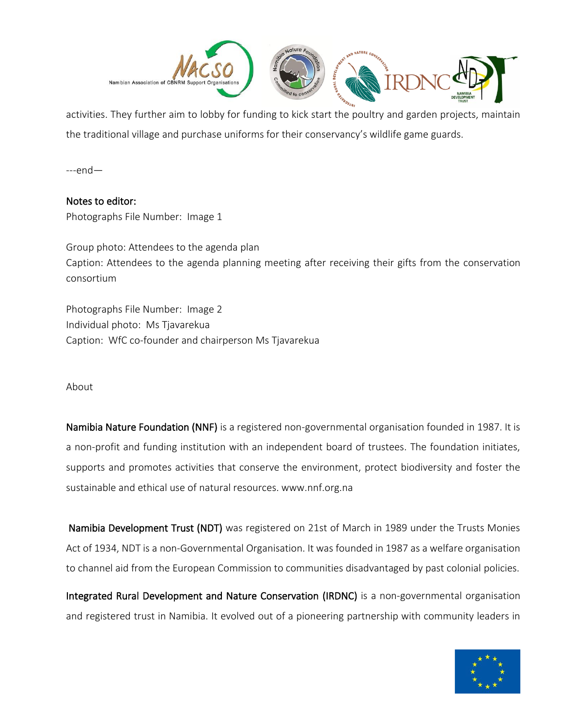

activities. They further aim to lobby for funding to kick start the poultry and garden projects, maintain the traditional village and purchase uniforms for their conservancy's wildlife game guards.

---end—

Notes to editor: Photographs File Number: Image 1

Group photo: Attendees to the agenda plan Caption: Attendees to the agenda planning meeting after receiving their gifts from the conservation consortium

Photographs File Number: Image 2 Individual photo: Ms Tjavarekua Caption: WfC co-founder and chairperson Ms Tjavarekua

## About

Namibia Nature Foundation (NNF) is a registered non-governmental organisation founded in 1987. It is a non-profit and funding institution with an independent board of trustees. The foundation initiates, supports and promotes activities that conserve the environment, protect biodiversity and foster the sustainable and ethical use of natural resources. www.nnf.org.na

 Namibia Development Trust (NDT) was registered on 21st of March in 1989 under the Trusts Monies Act of 1934, NDT is a non-Governmental Organisation. It was founded in 1987 as a welfare organisation to channel aid from the European Commission to communities disadvantaged by past colonial policies.

Integrated Rural Development and Nature Conservation (IRDNC) is a non-governmental organisation and registered trust in Namibia. It evolved out of a pioneering partnership with community leaders in